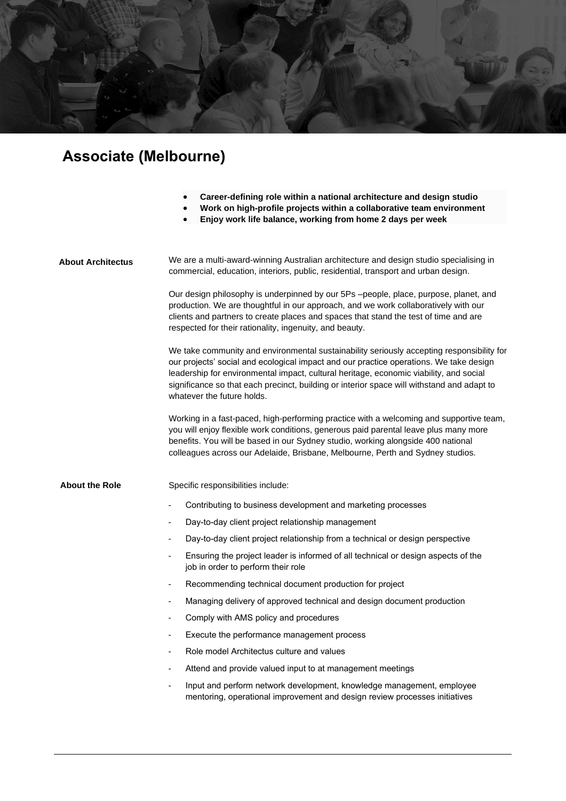

## **Associate (Melbourne)**

- **Career-defining role within a national architecture and design studio**
- **Work on high-profile projects within a collaborative team environment**
- **Enjoy work life balance, working from home 2 days per week**

| <b>About Architectus</b> | We are a multi-award-winning Australian architecture and design studio specialising in<br>commercial, education, interiors, public, residential, transport and urban design.                                                                                                                                                                                                                              |
|--------------------------|-----------------------------------------------------------------------------------------------------------------------------------------------------------------------------------------------------------------------------------------------------------------------------------------------------------------------------------------------------------------------------------------------------------|
|                          | Our design philosophy is underpinned by our 5Ps -people, place, purpose, planet, and<br>production. We are thoughtful in our approach, and we work collaboratively with our<br>clients and partners to create places and spaces that stand the test of time and are<br>respected for their rationality, ingenuity, and beauty.                                                                            |
|                          | We take community and environmental sustainability seriously accepting responsibility for<br>our projects' social and ecological impact and our practice operations. We take design<br>leadership for environmental impact, cultural heritage, economic viability, and social<br>significance so that each precinct, building or interior space will withstand and adapt to<br>whatever the future holds. |
|                          | Working in a fast-paced, high-performing practice with a welcoming and supportive team,<br>you will enjoy flexible work conditions, generous paid parental leave plus many more<br>benefits. You will be based in our Sydney studio, working alongside 400 national<br>colleagues across our Adelaide, Brisbane, Melbourne, Perth and Sydney studios.                                                     |
| <b>About the Role</b>    | Specific responsibilities include:                                                                                                                                                                                                                                                                                                                                                                        |
|                          | Contributing to business development and marketing processes                                                                                                                                                                                                                                                                                                                                              |
|                          | Day-to-day client project relationship management                                                                                                                                                                                                                                                                                                                                                         |
|                          | Day-to-day client project relationship from a technical or design perspective                                                                                                                                                                                                                                                                                                                             |
|                          | Ensuring the project leader is informed of all technical or design aspects of the<br>job in order to perform their role                                                                                                                                                                                                                                                                                   |
|                          | Recommending technical document production for project<br>٠                                                                                                                                                                                                                                                                                                                                               |
|                          | Managing delivery of approved technical and design document production                                                                                                                                                                                                                                                                                                                                    |
|                          | Comply with AMS policy and procedures                                                                                                                                                                                                                                                                                                                                                                     |
|                          | Execute the performance management process<br>٠                                                                                                                                                                                                                                                                                                                                                           |
|                          | Role model Architectus culture and values                                                                                                                                                                                                                                                                                                                                                                 |
|                          | Attend and provide valued input to at management meetings                                                                                                                                                                                                                                                                                                                                                 |
|                          | Input and perform network development, knowledge management, employee<br>÷,<br>mentoring, operational improvement and design review processes initiatives                                                                                                                                                                                                                                                 |